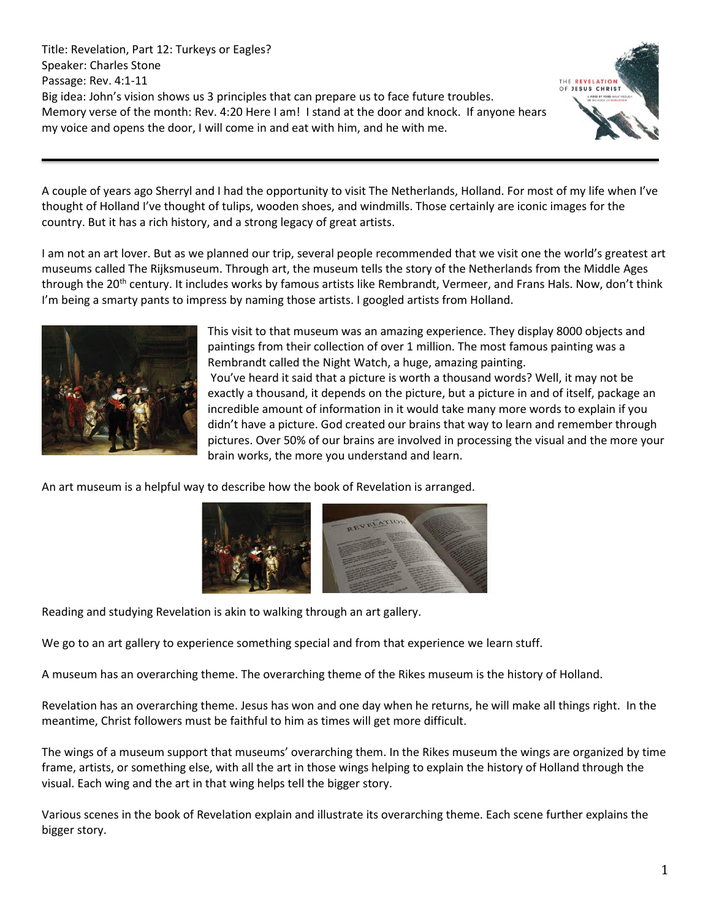Title: Revelation, Part 12: Turkeys or Eagles? Speaker: Charles Stone Passage: Rev. 4:1-11 Big idea: John's vision shows us 3 principles that can prepare us to face future troubles. Memory verse of the month: Rev. 4:20 Here I am! I stand at the door and knock. If anyone hears my voice and opens the door, I will come in and eat with him, and he with me.



A couple of years ago Sherryl and I had the opportunity to visit The Netherlands, Holland. For most of my life when I've thought of Holland I've thought of tulips, wooden shoes, and windmills. Those certainly are iconic images for the country. But it has a rich history, and a strong legacy of great artists.

I am not an art lover. But as we planned our trip, several people recommended that we visit one the world's greatest art museums called The Rijksmuseum. Through art, the museum tells the story of the Netherlands from the Middle Ages through the 20<sup>th</sup> century. It includes works by famous artists like Rembrandt, Vermeer, and Frans Hals. Now, don't think I'm being a smarty pants to impress by naming those artists. I googled artists from Holland.



This visit to that museum was an amazing experience. They display 8000 objects and paintings from their collection of over 1 million. The most famous painting was a Rembrandt called the Night Watch, a huge, amazing painting. You've heard it said that a picture is worth a thousand words? Well, it may not be exactly a thousand, it depends on the picture, but a picture in and of itself, package an incredible amount of information in it would take many more words to explain if you didn't have a picture. God created our brains that way to learn and remember through pictures. Over 50% of our brains are involved in processing the visual and the more your brain works, the more you understand and learn.

An art museum is a helpful way to describe how the book of Revelation is arranged.



Reading and studying Revelation is akin to walking through an art gallery.

We go to an art gallery to experience something special and from that experience we learn stuff.

A museum has an overarching theme. The overarching theme of the Rikes museum is the history of Holland.

Revelation has an overarching theme. Jesus has won and one day when he returns, he will make all things right. In the meantime, Christ followers must be faithful to him as times will get more difficult.

The wings of a museum support that museums' overarching them. In the Rikes museum the wings are organized by time frame, artists, or something else, with all the art in those wings helping to explain the history of Holland through the visual. Each wing and the art in that wing helps tell the bigger story.

Various scenes in the book of Revelation explain and illustrate its overarching theme. Each scene further explains the bigger story.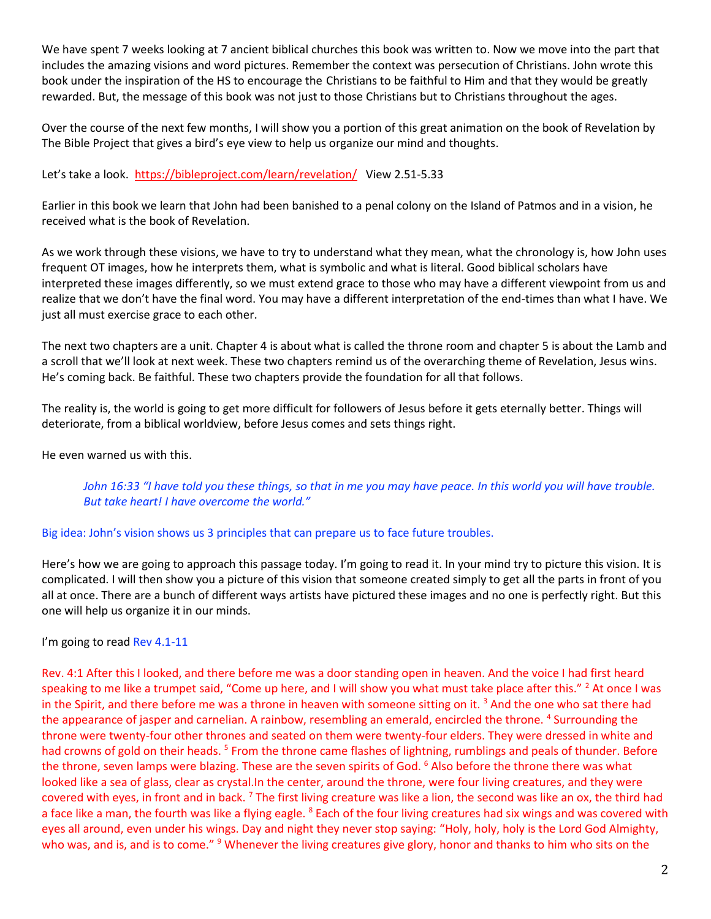We have spent 7 weeks looking at 7 ancient biblical churches this book was written to. Now we move into the part that includes the amazing visions and word pictures. Remember the context was persecution of Christians. John wrote this book under the inspiration of the HS to encourage the Christians to be faithful to Him and that they would be greatly rewarded. But, the message of this book was not just to those Christians but to Christians throughout the ages.

Over the course of the next few months, I will show you a portion of this great animation on the book of Revelation by The Bible Project that gives a bird's eye view to help us organize our mind and thoughts.

Let's take a look. <https://bibleproject.com/learn/revelation/>View 2.51-5.33

Earlier in this book we learn that John had been banished to a penal colony on the Island of Patmos and in a vision, he received what is the book of Revelation.

As we work through these visions, we have to try to understand what they mean, what the chronology is, how John uses frequent OT images, how he interprets them, what is symbolic and what is literal. Good biblical scholars have interpreted these images differently, so we must extend grace to those who may have a different viewpoint from us and realize that we don't have the final word. You may have a different interpretation of the end-times than what I have. We just all must exercise grace to each other.

The next two chapters are a unit. Chapter 4 is about what is called the throne room and chapter 5 is about the Lamb and a scroll that we'll look at next week. These two chapters remind us of the overarching theme of Revelation, Jesus wins. He's coming back. Be faithful. These two chapters provide the foundation for all that follows.

The reality is, the world is going to get more difficult for followers of Jesus before it gets eternally better. Things will deteriorate, from a biblical worldview, before Jesus comes and sets things right.

He even warned us with this.

*John 16:33 "I have told you these things, so that in me you may have peace. In this world you will have trouble. But take heart! I have overcome the world."*

# Big idea: John's vision shows us 3 principles that can prepare us to face future troubles.

Here's how we are going to approach this passage today. I'm going to read it. In your mind try to picture this vision. It is complicated. I will then show you a picture of this vision that someone created simply to get all the parts in front of you all at once. There are a bunch of different ways artists have pictured these images and no one is perfectly right. But this one will help us organize it in our minds.

I'm going to read Rev 4.1-11

Rev. 4:1 After this I looked, and there before me was a door standing open in heaven. And the voice I had first heard speaking to me like a trumpet said, "Come up here, and I will show you what must take place after this." <sup>2</sup> At once I was in the Spirit, and there before me was a throne in heaven with someone sitting on it.<sup>3</sup> And the one who sat there had the appearance of jasper and carnelian. A rainbow, resembling an emerald, encircled the throne. <sup>4</sup> Surrounding the throne were twenty-four other thrones and seated on them were twenty-four elders. They were dressed in white and had crowns of gold on their heads.<sup>5</sup> From the throne came flashes of lightning, rumblings and peals of thunder. Before the throne, seven lamps were blazing. These are the seven spirits of God. <sup>6</sup> Also before the throne there was what looked like a sea of glass, clear as crystal.In the center, around the throne, were four living creatures, and they were covered with eyes, in front and in back.<sup>7</sup> The first living creature was like a lion, the second was like an ox, the third had a face like a man, the fourth was like a flying eagle. <sup>8</sup> Each of the four living creatures had six wings and was covered with eyes all around, even under his wings. Day and night they never stop saying: "Holy, holy, holy is the Lord God Almighty, who was, and is, and is to come." <sup>9</sup> Whenever the living creatures give glory, honor and thanks to him who sits on the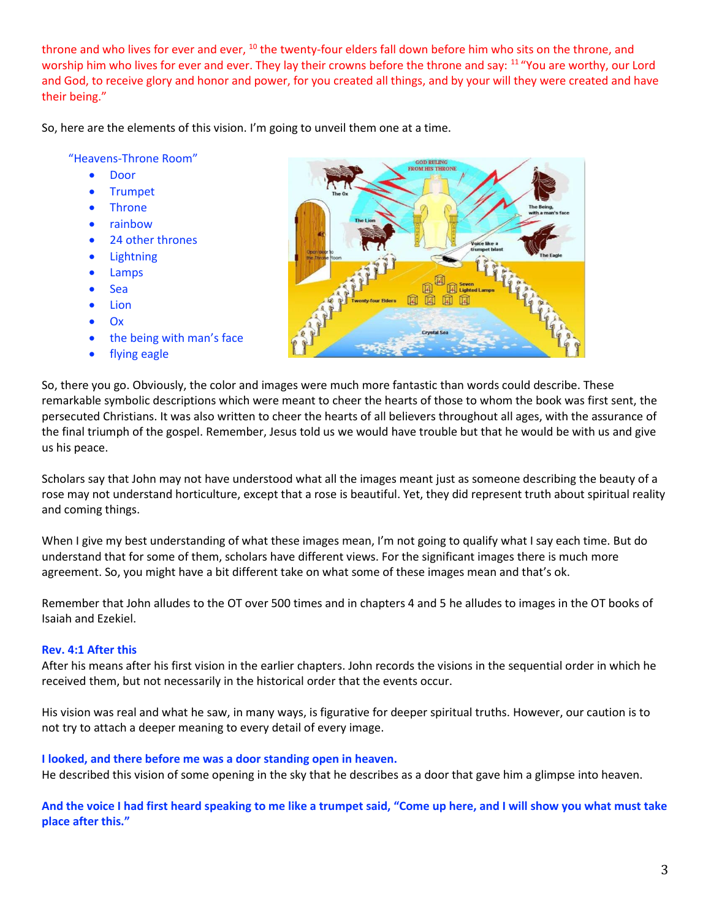throne and who lives for ever and ever, <sup>10</sup> the twenty-four elders fall down before him who sits on the throne, and worship him who lives for ever and ever. They lay their crowns before the throne and say: <sup>11</sup> "You are worthy, our Lord and God, to receive glory and honor and power, for you created all things, and by your will they were created and have their being."

So, here are the elements of this vision. I'm going to unveil them one at a time.

"Heavens-Throne Room"

- Door
- Trumpet
- Throne
- rainbow
- 24 other thrones
- Lightning
- Lamps
- Sea
- Lion
- Ox
- the being with man's face
- flying eagle



So, there you go. Obviously, the color and images were much more fantastic than words could describe. These remarkable symbolic descriptions which were meant to cheer the hearts of those to whom the book was first sent, the persecuted Christians. It was also written to cheer the hearts of all believers throughout all ages, with the assurance of the final triumph of the gospel. Remember, Jesus told us we would have trouble but that he would be with us and give us his peace.

Scholars say that John may not have understood what all the images meant just as someone describing the beauty of a rose may not understand horticulture, except that a rose is beautiful. Yet, they did represent truth about spiritual reality and coming things.

When I give my best understanding of what these images mean, I'm not going to qualify what I say each time. But do understand that for some of them, scholars have different views. For the significant images there is much more agreement. So, you might have a bit different take on what some of these images mean and that's ok.

Remember that John alludes to the OT over 500 times and in chapters 4 and 5 he alludes to images in the OT books of Isaiah and Ezekiel.

## **Rev. 4:1 After this**

After his means after his first vision in the earlier chapters. John records the visions in the sequential order in which he received them, but not necessarily in the historical order that the events occur.

His vision was real and what he saw, in many ways, is figurative for deeper spiritual truths. However, our caution is to not try to attach a deeper meaning to every detail of every image.

#### **I looked, and there before me was a door standing open in heaven.**

He described this vision of some opening in the sky that he describes as a door that gave him a glimpse into heaven.

**And the voice I had first heard speaking to me like a trumpet said, "Come up here, and I will show you what must take place after this."**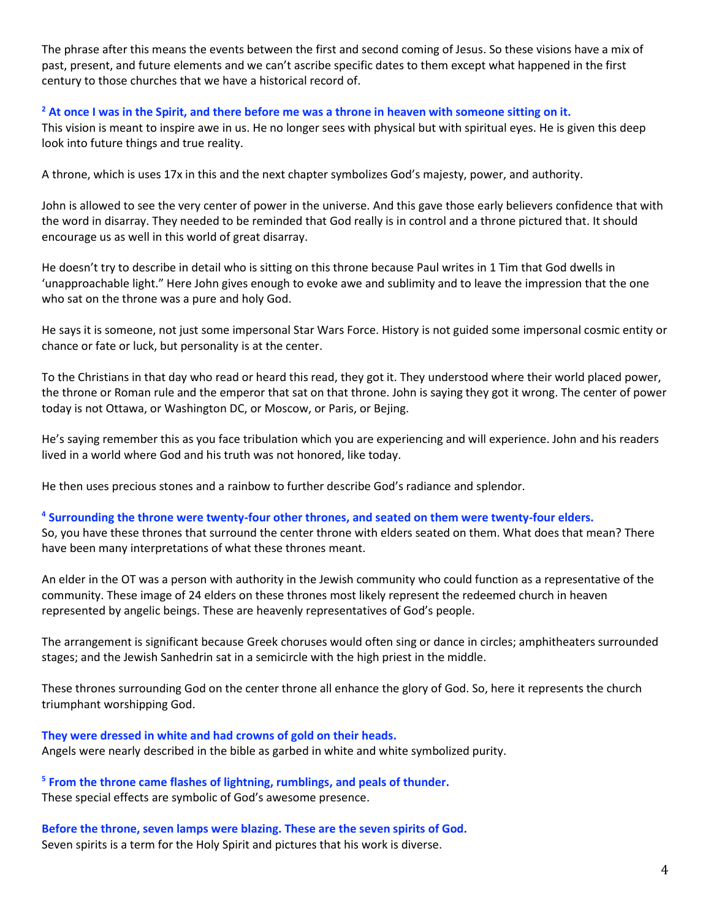The phrase after this means the events between the first and second coming of Jesus. So these visions have a mix of past, present, and future elements and we can't ascribe specific dates to them except what happened in the first century to those churches that we have a historical record of.

## **<sup>2</sup> At once I was in the Spirit, and there before me was a throne in heaven with someone sitting on it.**

This vision is meant to inspire awe in us. He no longer sees with physical but with spiritual eyes. He is given this deep look into future things and true reality.

A throne, which is uses 17x in this and the next chapter symbolizes God's majesty, power, and authority.

John is allowed to see the very center of power in the universe. And this gave those early believers confidence that with the word in disarray. They needed to be reminded that God really is in control and a throne pictured that. It should encourage us as well in this world of great disarray.

He doesn't try to describe in detail who is sitting on this throne because Paul writes in 1 Tim that God dwells in 'unapproachable light." Here John gives enough to evoke awe and sublimity and to leave the impression that the one who sat on the throne was a pure and holy God.

He says it is someone, not just some impersonal Star Wars Force. History is not guided some impersonal cosmic entity or chance or fate or luck, but personality is at the center.

To the Christians in that day who read or heard this read, they got it. They understood where their world placed power, the throne or Roman rule and the emperor that sat on that throne. John is saying they got it wrong. The center of power today is not Ottawa, or Washington DC, or Moscow, or Paris, or Bejing.

He's saying remember this as you face tribulation which you are experiencing and will experience. John and his readers lived in a world where God and his truth was not honored, like today.

He then uses precious stones and a rainbow to further describe God's radiance and splendor.

## **4 Surrounding the throne were twenty-four other thrones, and seated on them were twenty-four elders.**

So, you have these thrones that surround the center throne with elders seated on them. What does that mean? There have been many interpretations of what these thrones meant.

An elder in the OT was a person with authority in the Jewish community who could function as a representative of the community. These image of 24 elders on these thrones most likely represent the redeemed church in heaven represented by angelic beings. These are heavenly representatives of God's people.

The arrangement is significant because Greek choruses would often sing or dance in circles; amphitheaters surrounded stages; and the Jewish Sanhedrin sat in a semicircle with the high priest in the middle.

These thrones surrounding God on the center throne all enhance the glory of God. So, here it represents the church triumphant worshipping God.

# **They were dressed in white and had crowns of gold on their heads.**

Angels were nearly described in the bible as garbed in white and white symbolized purity.

**5 From the throne came flashes of lightning, rumblings, and peals of thunder.**  These special effects are symbolic of God's awesome presence.

**Before the throne, seven lamps were blazing. These are the seven spirits of God.**  Seven spirits is a term for the Holy Spirit and pictures that his work is diverse.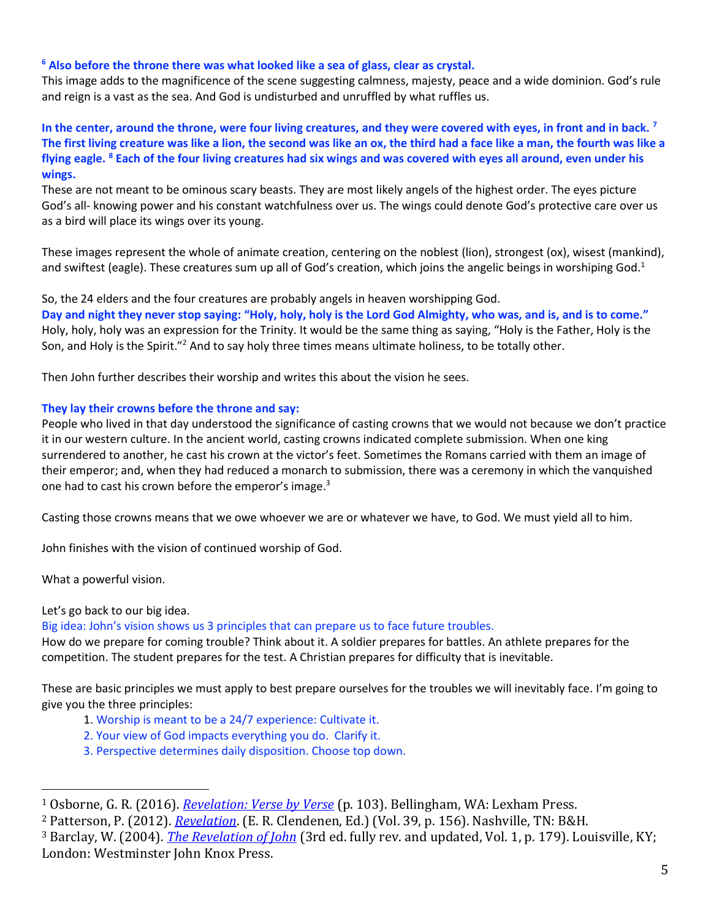## **<sup>6</sup> Also before the throne there was what looked like a sea of glass, clear as crystal.**

This image adds to the magnificence of the scene suggesting calmness, majesty, peace and a wide dominion. God's rule and reign is a vast as the sea. And God is undisturbed and unruffled by what ruffles us.

**In the center, around the throne, were four living creatures, and they were covered with eyes, in front and in back. <sup>7</sup> The first living creature was like a lion, the second was like an ox, the third had a face like a man, the fourth was like a flying eagle. <sup>8</sup> Each of the four living creatures had six wings and was covered with eyes all around, even under his wings.** 

These are not meant to be ominous scary beasts. They are most likely angels of the highest order. The eyes picture God's all- knowing power and his constant watchfulness over us. The wings could denote God's protective care over us as a bird will place its wings over its young.

These images represent the whole of animate creation, centering on the noblest (lion), strongest (ox), wisest (mankind), and swiftest (eagle). These creatures sum up all of God's creation, which joins the angelic beings in worshiping God.<sup>1</sup>

So, the 24 elders and the four creatures are probably angels in heaven worshipping God. **Day and night they never stop saying: "Holy, holy, holy is the Lord God Almighty, who was, and is, and is to come."**  Holy, holy, holy was an expression for the Trinity. It would be the same thing as saying, "Holy is the Father, Holy is the Son, and Holy is the Spirit."<sup>2</sup> And to say holy three times means ultimate holiness, to be totally other.

Then John further describes their worship and writes this about the vision he sees.

## **They lay their crowns before the throne and say:**

People who lived in that day understood the significance of casting crowns that we would not because we don't practice it in our western culture. In the ancient world, casting crowns indicated complete submission. When one king surrendered to another, he cast his crown at the victor's feet. Sometimes the Romans carried with them an image of their emperor; and, when they had reduced a monarch to submission, there was a ceremony in which the vanquished one had to cast his crown before the emperor's image.<sup>3</sup>

Casting those crowns means that we owe whoever we are or whatever we have, to God. We must yield all to him.

John finishes with the vision of continued worship of God.

What a powerful vision.

# Let's go back to our big idea.

Big idea: John's vision shows us 3 principles that can prepare us to face future troubles.

How do we prepare for coming trouble? Think about it. A soldier prepares for battles. An athlete prepares for the competition. The student prepares for the test. A Christian prepares for difficulty that is inevitable.

These are basic principles we must apply to best prepare ourselves for the troubles we will inevitably face. I'm going to give you the three principles:

- 1. Worship is meant to be a 24/7 experience: Cultivate it.
- 2. Your view of God impacts everything you do. Clarify it.
- 3. Perspective determines daily disposition. Choose top down.

<sup>1</sup> Osborne, G. R. (2016). *[Revelation: Verse by Verse](https://ref.ly/logosres/vbv87rev?ref=Bible.Re4.6b-8&off=1805&ctx=ce+for+such+a+view.+~The+most+viable+opti)* (p. 103). Bellingham, WA: Lexham Press.

<sup>2</sup> Patterson, P. (2012). *[Revelation](https://ref.ly/logosres/nac39?ref=Bible.Re4.6-11&off=7049&ctx=e+seemed+to+John+to+~have+been+the+same+a)*. (E. R. Clendenen, Ed.) (Vol. 39, p. 156). Nashville, TN: B&H.

<sup>3</sup> Barclay, W. (2004). *[The Revelation of John](https://ref.ly/logosres/ndsb87rev01?ref=Bible.Re4.9-11&off=1370&ctx=+the+throne+of+God.+~In+the+ancient+world)* (3rd ed. fully rev. and updated, Vol. 1, p. 179). Louisville, KY; London: Westminster John Knox Press.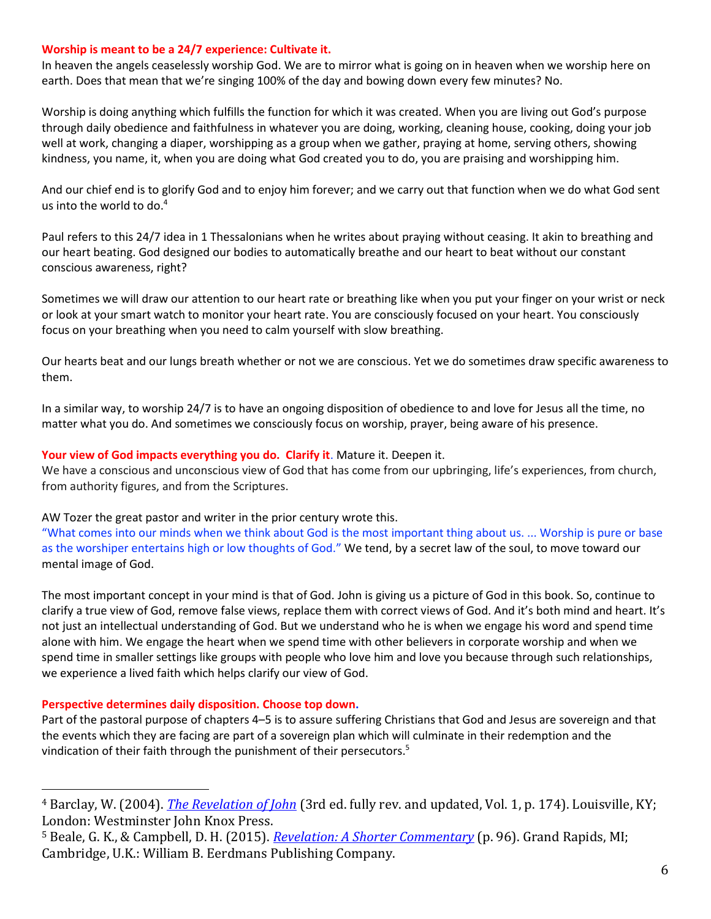## **Worship is meant to be a 24/7 experience: Cultivate it.**

In heaven the angels ceaselessly worship God. We are to mirror what is going on in heaven when we worship here on earth. Does that mean that we're singing 100% of the day and bowing down every few minutes? No.

Worship is doing anything which fulfills the function for which it was created. When you are living out God's purpose through daily obedience and faithfulness in whatever you are doing, working, cleaning house, cooking, doing your job well at work, changing a diaper, worshipping as a group when we gather, praying at home, serving others, showing kindness, you name, it, when you are doing what God created you to do, you are praising and worshipping him.

And our chief end is to glorify God and to enjoy him forever; and we carry out that function when we do what God sent us into the world to do.<sup>4</sup>

Paul refers to this 24/7 idea in 1 Thessalonians when he writes about praying without ceasing. It akin to breathing and our heart beating. God designed our bodies to automatically breathe and our heart to beat without our constant conscious awareness, right?

Sometimes we will draw our attention to our heart rate or breathing like when you put your finger on your wrist or neck or look at your smart watch to monitor your heart rate. You are consciously focused on your heart. You consciously focus on your breathing when you need to calm yourself with slow breathing.

Our hearts beat and our lungs breath whether or not we are conscious. Yet we do sometimes draw specific awareness to them.

In a similar way, to worship 24/7 is to have an ongoing disposition of obedience to and love for Jesus all the time, no matter what you do. And sometimes we consciously focus on worship, prayer, being aware of his presence.

### **Your view of God impacts everything you do. Clarify it**. Mature it. Deepen it.

We have a conscious and unconscious view of God that has come from our upbringing, life's experiences, from church, from authority figures, and from the Scriptures.

#### AW Tozer the great pastor and writer in the prior century wrote this.

"What comes into our minds when we think about God is the most important thing about us. ... Worship is pure or base as the worshiper entertains high or low thoughts of God." We tend, by a secret law of the soul, to move toward our mental image of God.

The most important concept in your mind is that of God. John is giving us a picture of God in this book. So, continue to clarify a true view of God, remove false views, replace them with correct views of God. And it's both mind and heart. It's not just an intellectual understanding of God. But we understand who he is when we engage his word and spend time alone with him. We engage the heart when we spend time with other believers in corporate worship and when we spend time in smaller settings like groups with people who love him and love you because through such relationships, we experience a lived faith which helps clarify our view of God.

## **Perspective determines daily disposition. Choose top down.**

Part of the pastoral purpose of chapters 4–5 is to assure suffering Christians that God and Jesus are sovereign and that the events which they are facing are part of a sovereign plan which will culminate in their redemption and the vindication of their faith through the punishment of their persecutors.<sup>5</sup>

<sup>4</sup> Barclay, W. (2004). *[The Revelation of John](https://ref.ly/logosres/ndsb87rev01?ref=Bible.Re4.6b-8&off=6117&ctx=terally+become+one.+~Our+chief+end+is+to+)* (3rd ed. fully rev. and updated, Vol. 1, p. 174). Louisville, KY; London: Westminster John Knox Press.

<sup>5</sup> Beale, G. K., & Campbell, D. H. (2015). *[Revelation: A Shorter Commentary](https://ref.ly/logosres/rvltnshrtrcmm?ref=Bible.Re4.1-5.14&off=2426&ctx=on+at+the+last+day.+~Part+of+the+pastoral)* (p. 96). Grand Rapids, MI; Cambridge, U.K.: William B. Eerdmans Publishing Company.